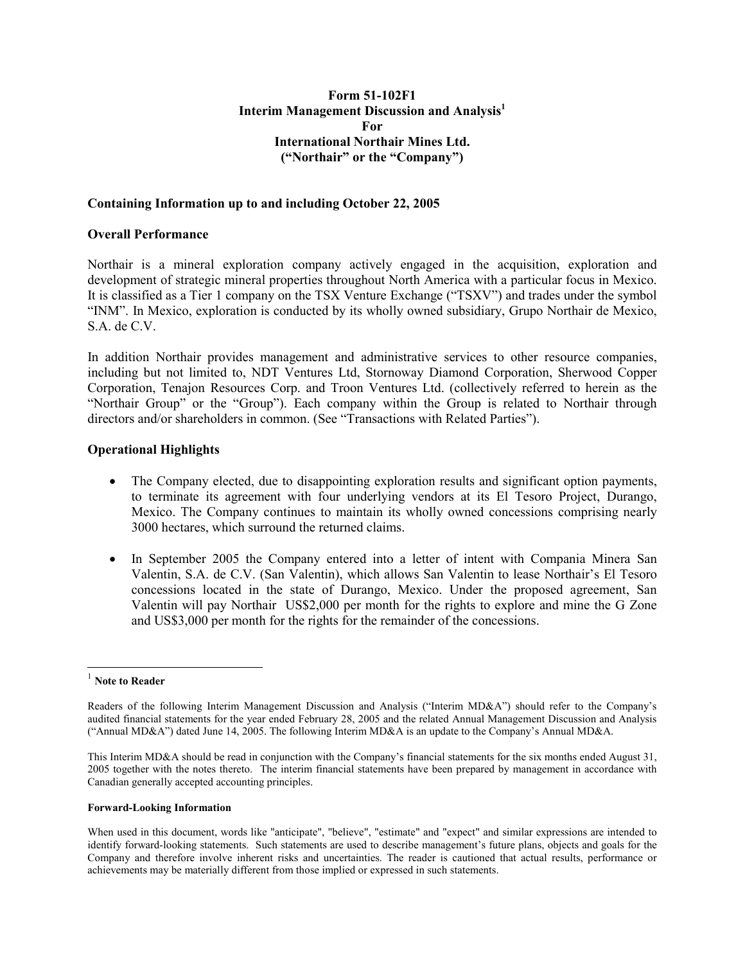## Form 51-102F1 Interim Management Discussion and Analysis $<sup>1</sup>$ </sup> For International Northair Mines Ltd. ("Northair" or the "Company")

#### Containing Information up to and including October 22, 2005

## Overall Performance

Northair is a mineral exploration company actively engaged in the acquisition, exploration and development of strategic mineral properties throughout North America with a particular focus in Mexico. It is classified as a Tier 1 company on the TSX Venture Exchange ("TSXV") and trades under the symbol "INM". In Mexico, exploration is conducted by its wholly owned subsidiary, Grupo Northair de Mexico, S.A. de C.V.

In addition Northair provides management and administrative services to other resource companies, including but not limited to, NDT Ventures Ltd, Stornoway Diamond Corporation, Sherwood Copper Corporation, Tenajon Resources Corp. and Troon Ventures Ltd. (collectively referred to herein as the "Northair Group" or the "Group"). Each company within the Group is related to Northair through directors and/or shareholders in common. (See "Transactions with Related Parties").

#### Operational Highlights

- The Company elected, due to disappointing exploration results and significant option payments, to terminate its agreement with four underlying vendors at its El Tesoro Project, Durango, Mexico. The Company continues to maintain its wholly owned concessions comprising nearly 3000 hectares, which surround the returned claims.
- In September 2005 the Company entered into a letter of intent with Compania Minera San Valentin, S.A. de C.V. (San Valentin), which allows San Valentin to lease Northair's El Tesoro concessions located in the state of Durango, Mexico. Under the proposed agreement, San Valentin will pay Northair US\$2,000 per month for the rights to explore and mine the G Zone and US\$3,000 per month for the rights for the remainder of the concessions.

1

#### Forward-Looking Information

 $1$  Note to Reader

Readers of the following Interim Management Discussion and Analysis ("Interim MD&A") should refer to the Company's audited financial statements for the year ended February 28, 2005 and the related Annual Management Discussion and Analysis ("Annual MD&A") dated June 14, 2005. The following Interim MD&A is an update to the Company's Annual MD&A.

This Interim MD&A should be read in conjunction with the Company's financial statements for the six months ended August 31, 2005 together with the notes thereto. The interim financial statements have been prepared by management in accordance with Canadian generally accepted accounting principles.

When used in this document, words like "anticipate", "believe", "estimate" and "expect" and similar expressions are intended to identify forward-looking statements. Such statements are used to describe management's future plans, objects and goals for the Company and therefore involve inherent risks and uncertainties. The reader is cautioned that actual results, performance or achievements may be materially different from those implied or expressed in such statements.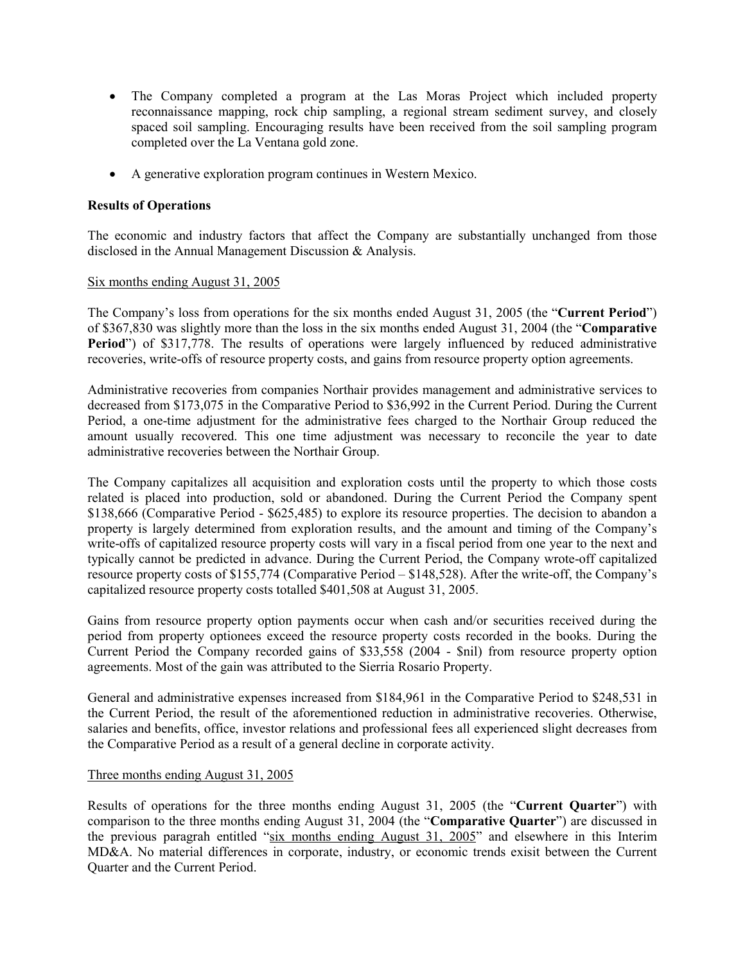- The Company completed a program at the Las Moras Project which included property reconnaissance mapping, rock chip sampling, a regional stream sediment survey, and closely spaced soil sampling. Encouraging results have been received from the soil sampling program completed over the La Ventana gold zone.
- A generative exploration program continues in Western Mexico.

## Results of Operations

The economic and industry factors that affect the Company are substantially unchanged from those disclosed in the Annual Management Discussion & Analysis.

#### Six months ending August 31, 2005

The Company's loss from operations for the six months ended August 31, 2005 (the "Current Period") of \$367,830 was slightly more than the loss in the six months ended August 31, 2004 (the "Comparative Period") of \$317,778. The results of operations were largely influenced by reduced administrative recoveries, write-offs of resource property costs, and gains from resource property option agreements.

Administrative recoveries from companies Northair provides management and administrative services to decreased from \$173,075 in the Comparative Period to \$36,992 in the Current Period. During the Current Period, a one-time adjustment for the administrative fees charged to the Northair Group reduced the amount usually recovered. This one time adjustment was necessary to reconcile the year to date administrative recoveries between the Northair Group.

The Company capitalizes all acquisition and exploration costs until the property to which those costs related is placed into production, sold or abandoned. During the Current Period the Company spent \$138,666 (Comparative Period - \$625,485) to explore its resource properties. The decision to abandon a property is largely determined from exploration results, and the amount and timing of the Company's write-offs of capitalized resource property costs will vary in a fiscal period from one year to the next and typically cannot be predicted in advance. During the Current Period, the Company wrote-off capitalized resource property costs of \$155,774 (Comparative Period – \$148,528). After the write-off, the Company's capitalized resource property costs totalled \$401,508 at August 31, 2005.

Gains from resource property option payments occur when cash and/or securities received during the period from property optionees exceed the resource property costs recorded in the books. During the Current Period the Company recorded gains of \$33,558 (2004 - \$nil) from resource property option agreements. Most of the gain was attributed to the Sierria Rosario Property.

General and administrative expenses increased from \$184,961 in the Comparative Period to \$248,531 in the Current Period, the result of the aforementioned reduction in administrative recoveries. Otherwise, salaries and benefits, office, investor relations and professional fees all experienced slight decreases from the Comparative Period as a result of a general decline in corporate activity.

## Three months ending August 31, 2005

Results of operations for the three months ending August 31, 2005 (the "Current Quarter") with comparison to the three months ending August 31, 2004 (the "Comparative Quarter") are discussed in the previous paragrah entitled "six months ending August 31, 2005" and elsewhere in this Interim MD&A. No material differences in corporate, industry, or economic trends exisit between the Current Quarter and the Current Period.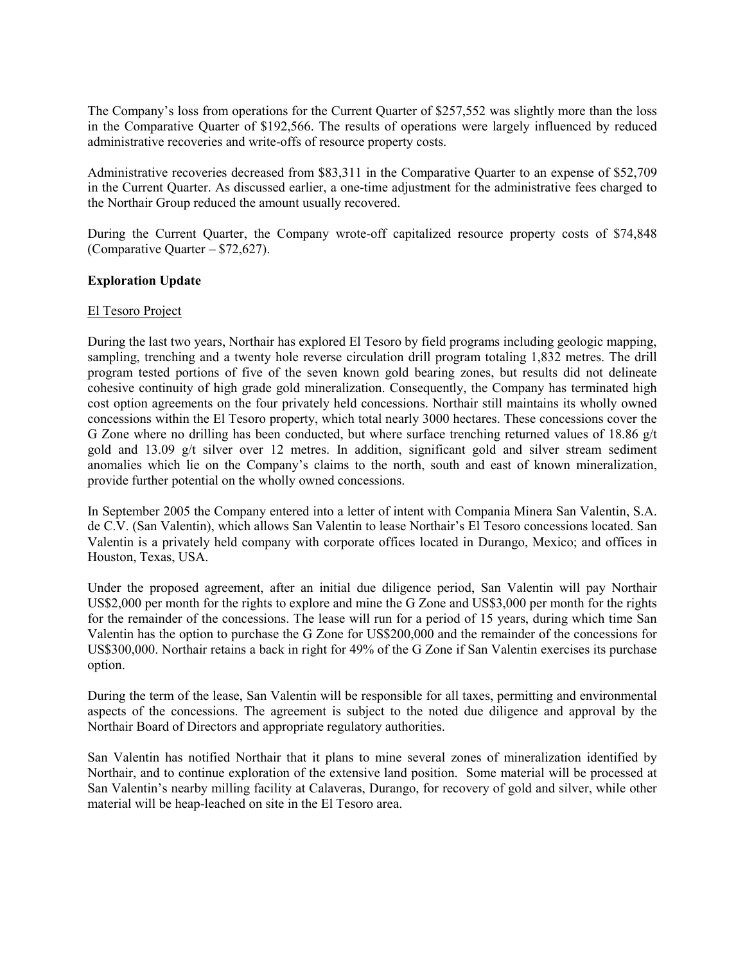The Company's loss from operations for the Current Quarter of \$257,552 was slightly more than the loss in the Comparative Quarter of \$192,566. The results of operations were largely influenced by reduced administrative recoveries and write-offs of resource property costs.

Administrative recoveries decreased from \$83,311 in the Comparative Quarter to an expense of \$52,709 in the Current Quarter. As discussed earlier, a one-time adjustment for the administrative fees charged to the Northair Group reduced the amount usually recovered.

During the Current Quarter, the Company wrote-off capitalized resource property costs of \$74,848 (Comparative Quarter – \$72,627).

## Exploration Update

#### El Tesoro Project

During the last two years, Northair has explored El Tesoro by field programs including geologic mapping, sampling, trenching and a twenty hole reverse circulation drill program totaling 1,832 metres. The drill program tested portions of five of the seven known gold bearing zones, but results did not delineate cohesive continuity of high grade gold mineralization. Consequently, the Company has terminated high cost option agreements on the four privately held concessions. Northair still maintains its wholly owned concessions within the El Tesoro property, which total nearly 3000 hectares. These concessions cover the G Zone where no drilling has been conducted, but where surface trenching returned values of 18.86 g/t gold and 13.09 g/t silver over 12 metres. In addition, significant gold and silver stream sediment anomalies which lie on the Company's claims to the north, south and east of known mineralization, provide further potential on the wholly owned concessions.

In September 2005 the Company entered into a letter of intent with Compania Minera San Valentin, S.A. de C.V. (San Valentin), which allows San Valentin to lease Northair's El Tesoro concessions located. San Valentin is a privately held company with corporate offices located in Durango, Mexico; and offices in Houston, Texas, USA.

Under the proposed agreement, after an initial due diligence period, San Valentin will pay Northair US\$2,000 per month for the rights to explore and mine the G Zone and US\$3,000 per month for the rights for the remainder of the concessions. The lease will run for a period of 15 years, during which time San Valentin has the option to purchase the G Zone for US\$200,000 and the remainder of the concessions for US\$300,000. Northair retains a back in right for 49% of the G Zone if San Valentin exercises its purchase option.

During the term of the lease, San Valentin will be responsible for all taxes, permitting and environmental aspects of the concessions. The agreement is subject to the noted due diligence and approval by the Northair Board of Directors and appropriate regulatory authorities.

San Valentin has notified Northair that it plans to mine several zones of mineralization identified by Northair, and to continue exploration of the extensive land position. Some material will be processed at San Valentin's nearby milling facility at Calaveras, Durango, for recovery of gold and silver, while other material will be heap-leached on site in the El Tesoro area.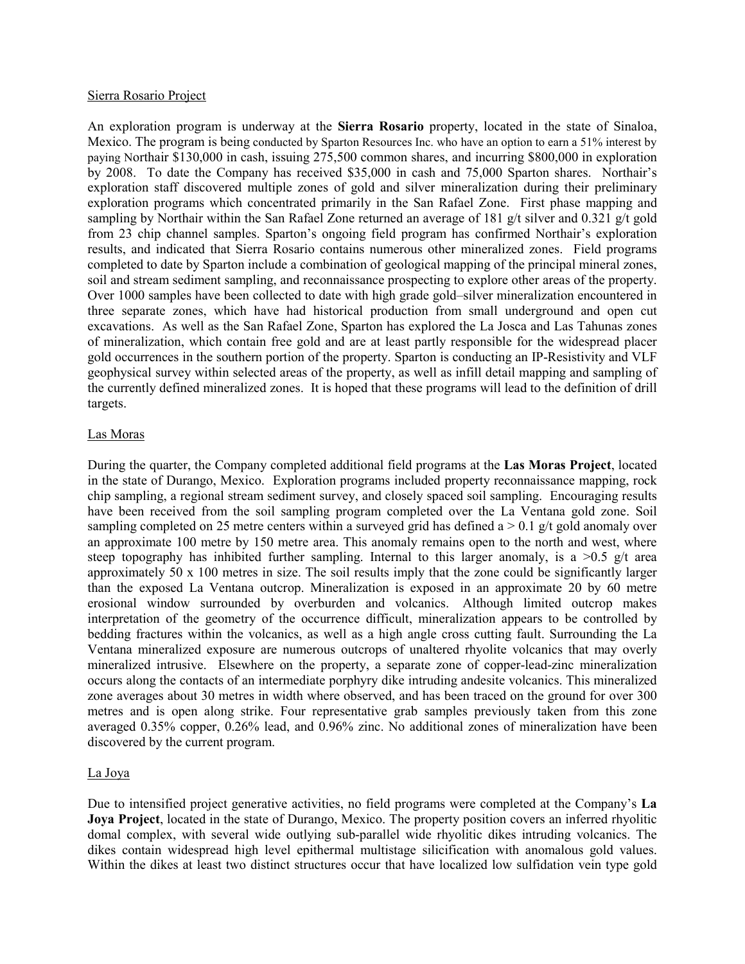#### Sierra Rosario Project

An exploration program is underway at the Sierra Rosario property, located in the state of Sinaloa, Mexico. The program is being conducted by Sparton Resources Inc. who have an option to earn a 51% interest by paying Northair \$130,000 in cash, issuing 275,500 common shares, and incurring \$800,000 in exploration by 2008. To date the Company has received \$35,000 in cash and 75,000 Sparton shares. Northair's exploration staff discovered multiple zones of gold and silver mineralization during their preliminary exploration programs which concentrated primarily in the San Rafael Zone. First phase mapping and sampling by Northair within the San Rafael Zone returned an average of 181 g/t silver and 0.321 g/t gold from 23 chip channel samples. Sparton's ongoing field program has confirmed Northair's exploration results, and indicated that Sierra Rosario contains numerous other mineralized zones. Field programs completed to date by Sparton include a combination of geological mapping of the principal mineral zones, soil and stream sediment sampling, and reconnaissance prospecting to explore other areas of the property. Over 1000 samples have been collected to date with high grade gold–silver mineralization encountered in three separate zones, which have had historical production from small underground and open cut excavations. As well as the San Rafael Zone, Sparton has explored the La Josca and Las Tahunas zones of mineralization, which contain free gold and are at least partly responsible for the widespread placer gold occurrences in the southern portion of the property. Sparton is conducting an IP-Resistivity and VLF geophysical survey within selected areas of the property, as well as infill detail mapping and sampling of the currently defined mineralized zones. It is hoped that these programs will lead to the definition of drill targets.

## Las Moras

During the quarter, the Company completed additional field programs at the Las Moras Project, located in the state of Durango, Mexico. Exploration programs included property reconnaissance mapping, rock chip sampling, a regional stream sediment survey, and closely spaced soil sampling. Encouraging results have been received from the soil sampling program completed over the La Ventana gold zone. Soil sampling completed on 25 metre centers within a surveyed grid has defined  $a > 0.1$  g/t gold anomaly over an approximate 100 metre by 150 metre area. This anomaly remains open to the north and west, where steep topography has inhibited further sampling. Internal to this larger anomaly, is a  $>0.5$  g/t area approximately 50 x 100 metres in size. The soil results imply that the zone could be significantly larger than the exposed La Ventana outcrop. Mineralization is exposed in an approximate 20 by 60 metre erosional window surrounded by overburden and volcanics. Although limited outcrop makes interpretation of the geometry of the occurrence difficult, mineralization appears to be controlled by bedding fractures within the volcanics, as well as a high angle cross cutting fault. Surrounding the La Ventana mineralized exposure are numerous outcrops of unaltered rhyolite volcanics that may overly mineralized intrusive. Elsewhere on the property, a separate zone of copper-lead-zinc mineralization occurs along the contacts of an intermediate porphyry dike intruding andesite volcanics. This mineralized zone averages about 30 metres in width where observed, and has been traced on the ground for over 300 metres and is open along strike. Four representative grab samples previously taken from this zone averaged 0.35% copper, 0.26% lead, and 0.96% zinc. No additional zones of mineralization have been discovered by the current program.

## La Joya

Due to intensified project generative activities, no field programs were completed at the Company's La Joya Project, located in the state of Durango, Mexico. The property position covers an inferred rhyolitic domal complex, with several wide outlying sub-parallel wide rhyolitic dikes intruding volcanics. The dikes contain widespread high level epithermal multistage silicification with anomalous gold values. Within the dikes at least two distinct structures occur that have localized low sulfidation vein type gold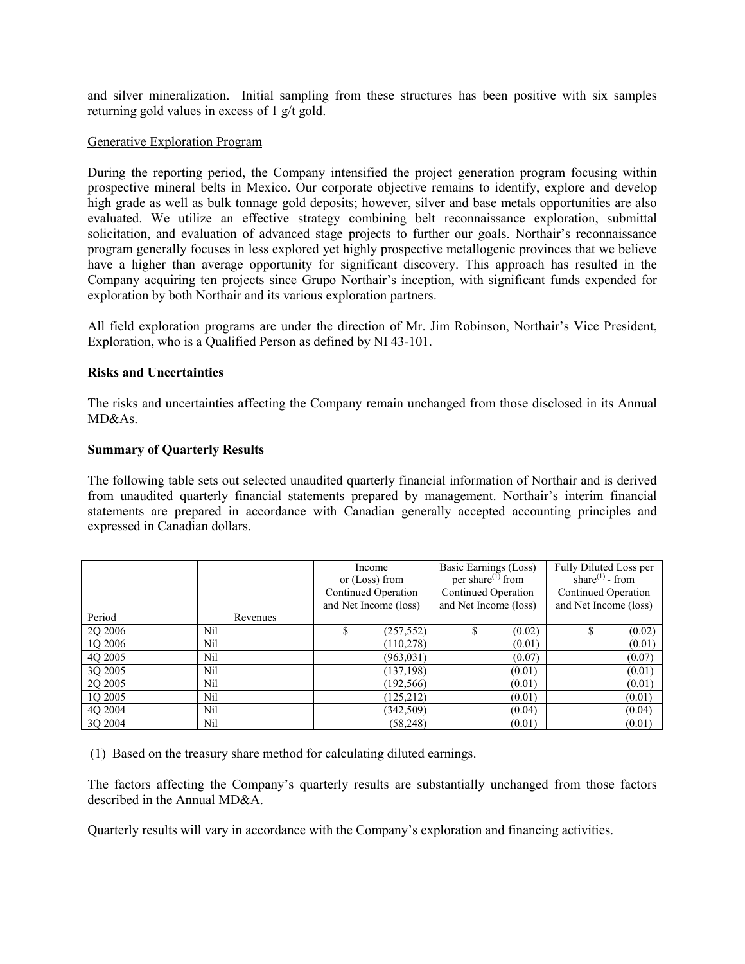and silver mineralization. Initial sampling from these structures has been positive with six samples returning gold values in excess of 1 g/t gold.

#### Generative Exploration Program

During the reporting period, the Company intensified the project generation program focusing within prospective mineral belts in Mexico. Our corporate objective remains to identify, explore and develop high grade as well as bulk tonnage gold deposits; however, silver and base metals opportunities are also evaluated. We utilize an effective strategy combining belt reconnaissance exploration, submittal solicitation, and evaluation of advanced stage projects to further our goals. Northair's reconnaissance program generally focuses in less explored yet highly prospective metallogenic provinces that we believe have a higher than average opportunity for significant discovery. This approach has resulted in the Company acquiring ten projects since Grupo Northair's inception, with significant funds expended for exploration by both Northair and its various exploration partners.

All field exploration programs are under the direction of Mr. Jim Robinson, Northair's Vice President, Exploration, who is a Qualified Person as defined by NI 43-101.

## Risks and Uncertainties

The risks and uncertainties affecting the Company remain unchanged from those disclosed in its Annual MD&As.

#### Summary of Quarterly Results

The following table sets out selected unaudited quarterly financial information of Northair and is derived from unaudited quarterly financial statements prepared by management. Northair's interim financial statements are prepared in accordance with Canadian generally accepted accounting principles and expressed in Canadian dollars.

|         |          | Income<br>or $(Loss)$ from<br>Continued Operation<br>and Net Income (loss) | Basic Earnings (Loss)<br>per share $^{(1)}$ from<br>Continued Operation<br>and Net Income (loss) | Fully Diluted Loss per<br>share $^{(1)}$ - from<br><b>Continued Operation</b><br>and Net Income (loss) |
|---------|----------|----------------------------------------------------------------------------|--------------------------------------------------------------------------------------------------|--------------------------------------------------------------------------------------------------------|
| Period  | Revenues |                                                                            |                                                                                                  |                                                                                                        |
| 2Q 2006 | Nil      | (257, 552)                                                                 | \$<br>(0.02)                                                                                     | (0.02)<br>\$                                                                                           |
| 1Q 2006 | Nil      | (110, 278)                                                                 | (0.01)                                                                                           | (0.01)                                                                                                 |
| 4Q 2005 | Nil      | (963, 031)                                                                 | (0.07)                                                                                           | (0.07)                                                                                                 |
| 3Q 2005 | Nil      | (137, 198)                                                                 | (0.01)                                                                                           | (0.01)                                                                                                 |
| 2Q 2005 | Nil      | (192, 566)                                                                 | (0.01)                                                                                           | (0.01)                                                                                                 |
| 1Q 2005 | Nil      | (125, 212)                                                                 | (0.01)                                                                                           | (0.01)                                                                                                 |
| 4O 2004 | Nil      | (342, 509)                                                                 | (0.04)                                                                                           | (0.04)                                                                                                 |
| 3Q 2004 | Nil      | (58, 248)                                                                  | (0.01)                                                                                           | (0.01)                                                                                                 |

(1) Based on the treasury share method for calculating diluted earnings.

The factors affecting the Company's quarterly results are substantially unchanged from those factors described in the Annual MD&A.

Quarterly results will vary in accordance with the Company's exploration and financing activities.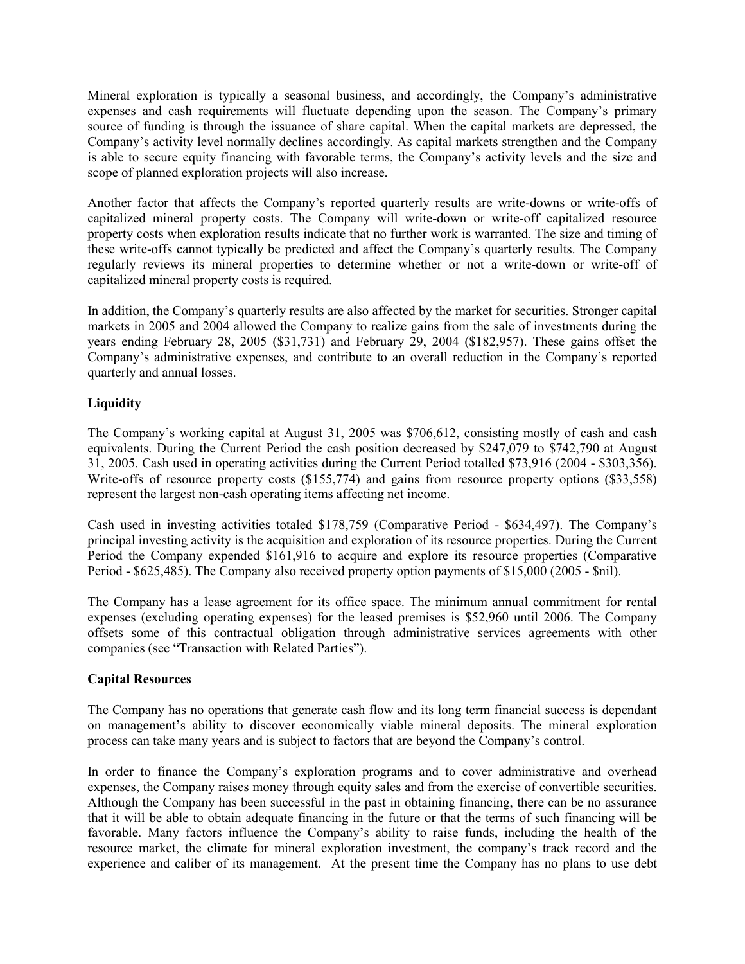Mineral exploration is typically a seasonal business, and accordingly, the Company's administrative expenses and cash requirements will fluctuate depending upon the season. The Company's primary source of funding is through the issuance of share capital. When the capital markets are depressed, the Company's activity level normally declines accordingly. As capital markets strengthen and the Company is able to secure equity financing with favorable terms, the Company's activity levels and the size and scope of planned exploration projects will also increase.

Another factor that affects the Company's reported quarterly results are write-downs or write-offs of capitalized mineral property costs. The Company will write-down or write-off capitalized resource property costs when exploration results indicate that no further work is warranted. The size and timing of these write-offs cannot typically be predicted and affect the Company's quarterly results. The Company regularly reviews its mineral properties to determine whether or not a write-down or write-off of capitalized mineral property costs is required.

In addition, the Company's quarterly results are also affected by the market for securities. Stronger capital markets in 2005 and 2004 allowed the Company to realize gains from the sale of investments during the years ending February 28, 2005 (\$31,731) and February 29, 2004 (\$182,957). These gains offset the Company's administrative expenses, and contribute to an overall reduction in the Company's reported quarterly and annual losses.

# **Liquidity**

The Company's working capital at August 31, 2005 was \$706,612, consisting mostly of cash and cash equivalents. During the Current Period the cash position decreased by \$247,079 to \$742,790 at August 31, 2005. Cash used in operating activities during the Current Period totalled \$73,916 (2004 - \$303,356). Write-offs of resource property costs (\$155,774) and gains from resource property options (\$33,558) represent the largest non-cash operating items affecting net income.

Cash used in investing activities totaled \$178,759 (Comparative Period - \$634,497). The Company's principal investing activity is the acquisition and exploration of its resource properties. During the Current Period the Company expended \$161,916 to acquire and explore its resource properties (Comparative Period - \$625,485). The Company also received property option payments of \$15,000 (2005 - \$nil).

The Company has a lease agreement for its office space. The minimum annual commitment for rental expenses (excluding operating expenses) for the leased premises is \$52,960 until 2006. The Company offsets some of this contractual obligation through administrative services agreements with other companies (see "Transaction with Related Parties").

# Capital Resources

The Company has no operations that generate cash flow and its long term financial success is dependant on management's ability to discover economically viable mineral deposits. The mineral exploration process can take many years and is subject to factors that are beyond the Company's control.

In order to finance the Company's exploration programs and to cover administrative and overhead expenses, the Company raises money through equity sales and from the exercise of convertible securities. Although the Company has been successful in the past in obtaining financing, there can be no assurance that it will be able to obtain adequate financing in the future or that the terms of such financing will be favorable. Many factors influence the Company's ability to raise funds, including the health of the resource market, the climate for mineral exploration investment, the company's track record and the experience and caliber of its management. At the present time the Company has no plans to use debt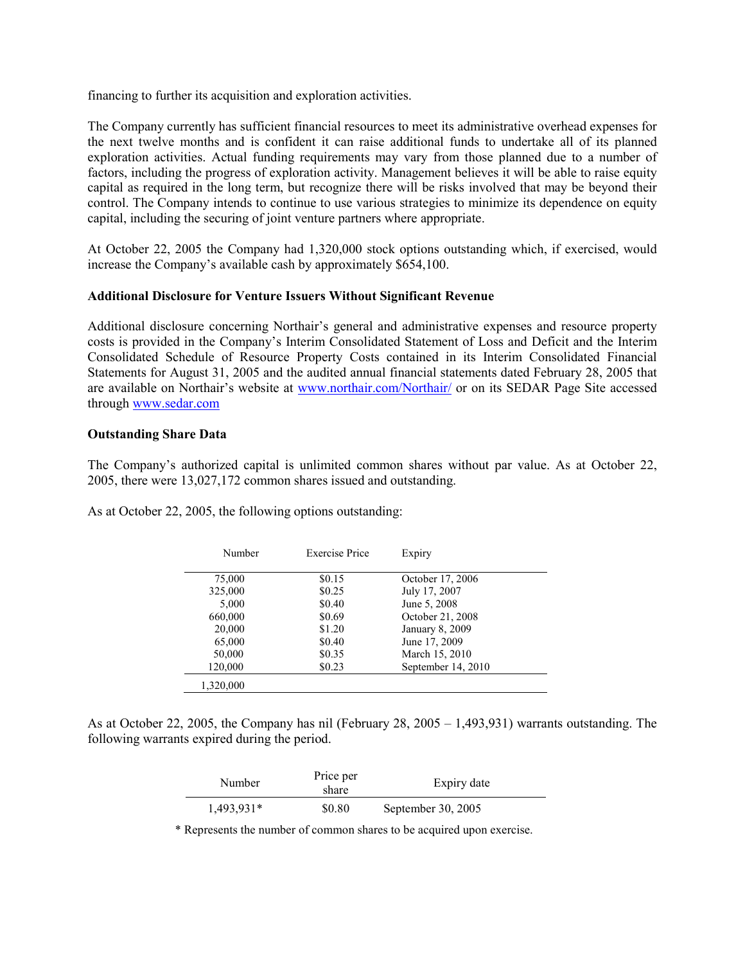financing to further its acquisition and exploration activities.

The Company currently has sufficient financial resources to meet its administrative overhead expenses for the next twelve months and is confident it can raise additional funds to undertake all of its planned exploration activities. Actual funding requirements may vary from those planned due to a number of factors, including the progress of exploration activity. Management believes it will be able to raise equity capital as required in the long term, but recognize there will be risks involved that may be beyond their control. The Company intends to continue to use various strategies to minimize its dependence on equity capital, including the securing of joint venture partners where appropriate.

At October 22, 2005 the Company had 1,320,000 stock options outstanding which, if exercised, would increase the Company's available cash by approximately \$654,100.

## Additional Disclosure for Venture Issuers Without Significant Revenue

Additional disclosure concerning Northair's general and administrative expenses and resource property costs is provided in the Company's Interim Consolidated Statement of Loss and Deficit and the Interim Consolidated Schedule of Resource Property Costs contained in its Interim Consolidated Financial Statements for August 31, 2005 and the audited annual financial statements dated February 28, 2005 that are available on Northair's website at www.northair.com/Northair/ or on its SEDAR Page Site accessed through www.sedar.com

## Outstanding Share Data

The Company's authorized capital is unlimited common shares without par value. As at October 22, 2005, there were 13,027,172 common shares issued and outstanding.

| As at October 22, 2005, the following options outstanding: |  |  |  |
|------------------------------------------------------------|--|--|--|
|------------------------------------------------------------|--|--|--|

| Number            | <b>Exercise Price</b> | Expiry                               |
|-------------------|-----------------------|--------------------------------------|
| 75,000            | \$0.15                | October 17, 2006                     |
| 325,000           | \$0.25                | July 17, 2007                        |
| 5,000<br>660,000  | \$0.40<br>\$0.69      | June 5, 2008<br>October 21, 2008     |
| 20,000            | \$1.20                | January 8, 2009                      |
| 65,000            | \$0.40                | June 17, 2009                        |
| 50,000<br>120,000 | \$0.35<br>\$0.23      | March 15, 2010<br>September 14, 2010 |
|                   |                       |                                      |
| 1.320.000         |                       |                                      |

As at October 22, 2005, the Company has nil (February 28, 2005 – 1,493,931) warrants outstanding. The following warrants expired during the period.

| Number     | Price per<br>share | Expiry date          |  |
|------------|--------------------|----------------------|--|
| 1,493,931* | \$0.80             | September 30, $2005$ |  |

\* Represents the number of common shares to be acquired upon exercise.